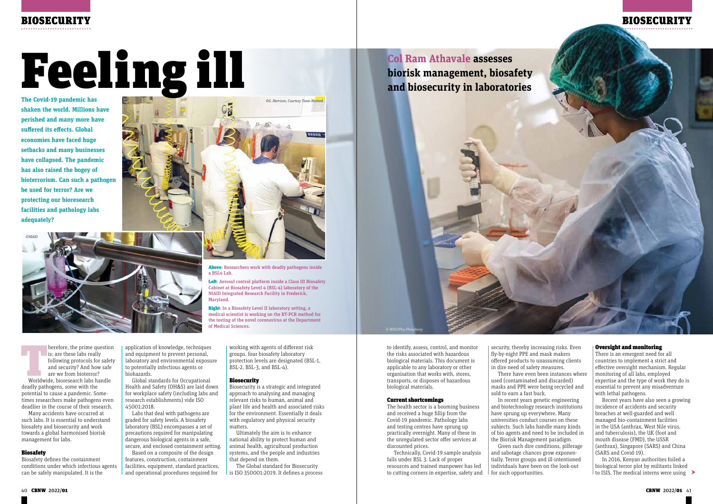

American is: are these labs really<br>
following protocols for safety<br>
and security? And how safe<br>
are we from bioterror?<br>
Worldwide, bioresearch labs handle is: are these labs really following protocols for safety and security? And how safe are we from bioterror? deadly pathogens, some with the potential to cause a pandemic. Sometimes researchers make pathogens even deadlier in the course of their research.

Many accidents have occurred at such labs. It is essential to understand biosafety and biosecurity and work towards a global harmonised biorisk management for labs.

#### Biosafety

Biosafety defines the containment conditions under which infectious agents can be safely manipulated. It is the

application of knowledge, techniques and equipment to prevent personal, laboratory and environmental exposure to potentially infectious agents or biohazards.

Global standards for Occupational Health and Safety (OH&S) are laid down for workplace safety (including labs and research establishments) vide ISO 45001:2018.

Labs that deal with pathogens are graded for safety levels. A biosafety laboratory (BSL) encompasses a set of precautions required for manipulating dangerous biological agents in a safe, secure, and enclosed containment setting.

Based on a composite of the design features, construction, containment facilities, equipment, standard practices, and operational procedures required for

working with agents of different risk groups, four biosafety laboratory protection levels are designated (BSL-1, BSL-2, BSL-3, and BSL-4).

Above: Researchers work with deadly pathogens inside

#### Biosecurity

Biosecurity is a strategic and integrated approach to analysing and managing relevant risks to human, animal and plant life and health and associated risks for the environment. Essentially it deals with regulatory and physical security matters.

Ultimately the aim is to enhance national ability to protect human and animal health, agricultural production systems, and the people and industries that depend on them.

The Global standard for Biosecurity is ISO 350001:2019. It defines a process

**Col Ram Athavale assesses and biosecurity in laboratories**

**The Covid-19 pandemic has shaken the world. Millions have perished and many more have suffered its effects. Global economies have faced huge setbacks and many businesses have collapsed. The pandemic has also raised the bogey of bioterrorism. Can such a pathogen be used for terror? Are we protecting our bioresearch facilities and pathology labs adequately?** 

> to identify, assess, control, and monitor the risks associated with hazardous biological materials. This document is applicable to any laboratory or other organisation that works with, stores, transports, or disposes of hazardous biological materials.

#### Current shortcomings

The health sector is a booming business and received a huge fillip from the Covid-19 pandemic. Pathology labs and testing centres have sprung up practically overnight. Many of these in the unregulated sector offer services at discounted prices.

Technically, Covid-19 sample analysis falls under BSL 3. Lack of proper resources and trained manpower has led to cutting corners in expertise, safety and security, thereby increasing risks. Even fly-by-night PPE and mask makers offered products to unassuming clients in dire need of safety measures.

There have even been instances where used (contaminated and discarded) masks and PPE were being recycled and sold to earn a fast buck.



In recent years genetic engineering and biotechnology research institutions have sprung up everywhere. Many universities conduct courses on these subjects. Such labs handle many kinds of bio agents and need to be included in the Biorisk Management paradigm. Given such dire conditions, pilferage and sabotage chances grow exponentially. Terror groups and ill-intentioned individuals have been on the look-out for such opportunities.

#### Oversight and monitoring

There is an emergent need for all countries to implement a strict and effective oversight mechanism. Regular monitoring of all labs, employed expertise and the type of work they do is essential to prevent any misadventure with lethal pathogens.

Recent years have also seen a growing incidence of accidents and security breaches at well-guarded and well managed bio-containment facilities in the USA (anthrax, West Nile virus, and tuberculosis), the UK (foot and mouth disease (FMD), the USSR (anthrax), Singapore (SARS) and China (SARS and Covid-19).

In 2016, Kenyan authorities foiled a biological terror plot by militants linked to ISIS. The medical interns were using

NIAID Integrated Research Facility in Frederick,

Right: In a Biosafety Level II laboratory setting, a

Maryland.



the testing of the novel coronavirus at the Department

of Medical Sciences.

*©G. Harrison, Courtesy Texas Biomed*



# Feeling ill